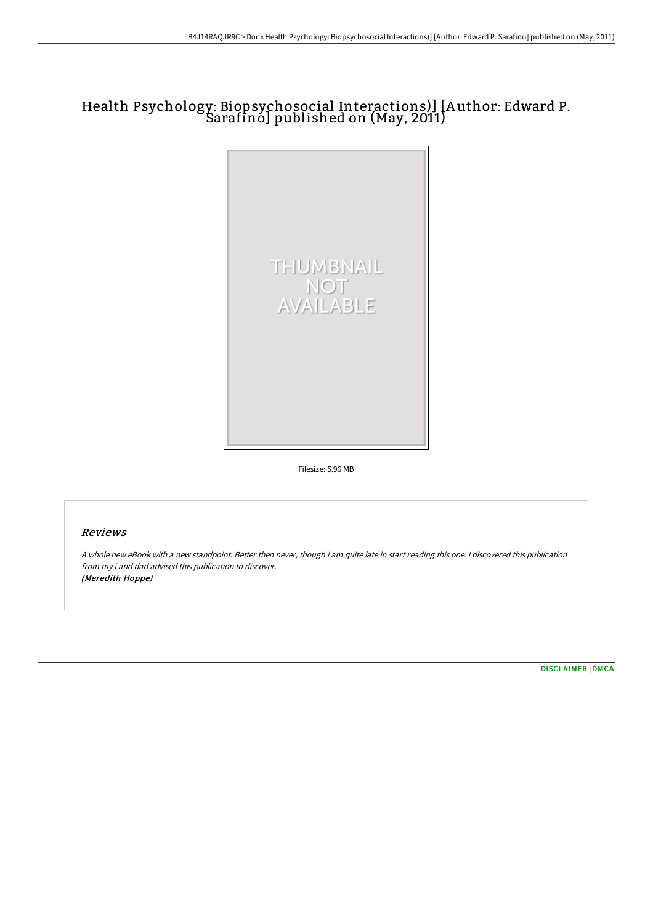## Health Psychology: Biopsychosocial Interactions)] [A uthor: Edward P. Sarafino] published on (May, 2011)



Filesize: 5.96 MB

## Reviews

A whole new eBook with <sup>a</sup> new standpoint. Better then never, though i am quite late in start reading this one. I discovered this publication from my i and dad advised this publication to discover. (Meredith Hoppe)

[DISCLAIMER](http://digilib.live/disclaimer.html) | [DMCA](http://digilib.live/dmca.html)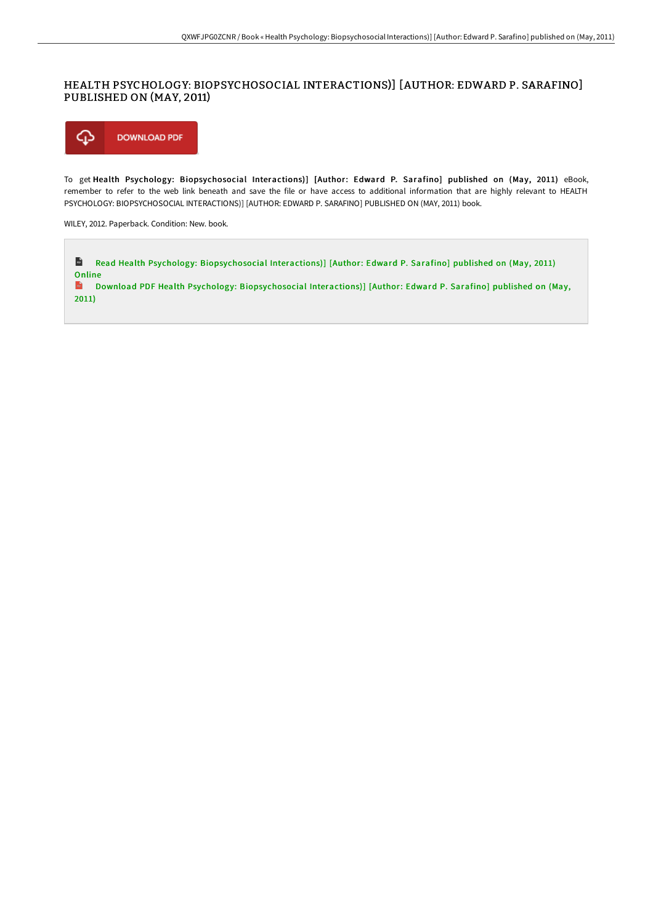## HEALTH PSYCHOLOGY: BIOPSYCHOSOCIAL INTERACTIONS)] [AUTHOR: EDWARD P. SARAFINO] PUBLISHED ON (MAY, 2011)



To get Health Psychology: Biopsychosocial Interactions)] [Author: Edward P. Sarafino] published on (May, 2011) eBook, remember to refer to the web link beneath and save the file or have access to additional information that are highly relevant to HEALTH PSYCHOLOGY: BIOPSYCHOSOCIAL INTERACTIONS)] [AUTHOR: EDWARD P. SARAFINO] PUBLISHED ON (MAY, 2011) book.

WILEY, 2012. Paperback. Condition: New. book.